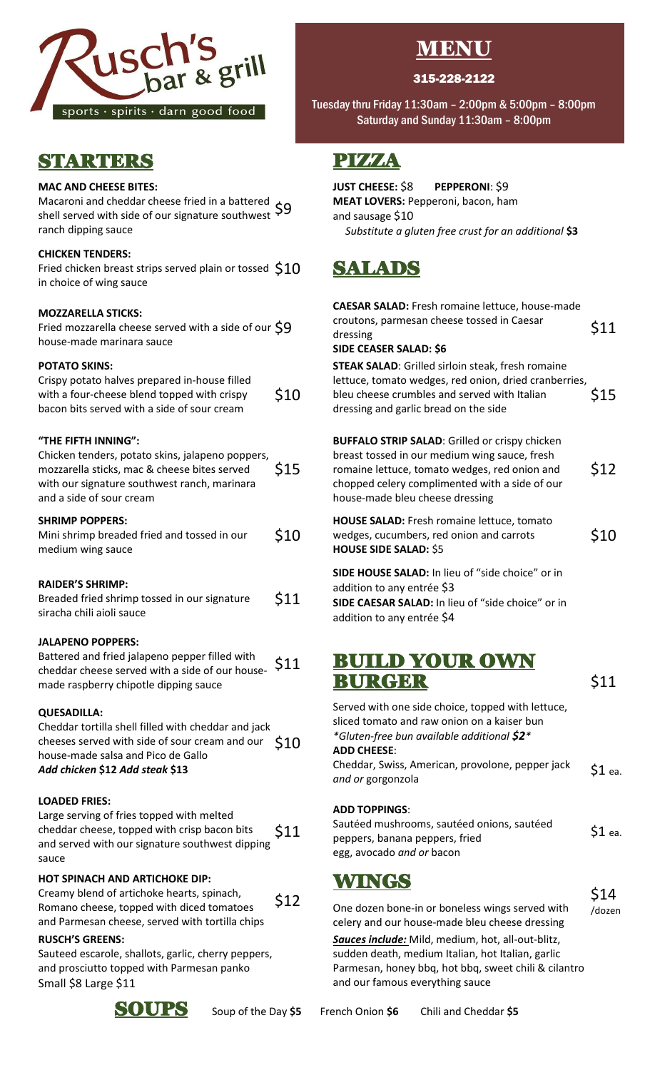

## STARTERS

### **MAC AND CHEESE BITES:**

Macaroni and cheddar cheese fried in a battered  $\overline{\varsigma}$ 9<br>shell served with side of our signature southwest 59 shell served with side of our signature southwest ranch dipping sauce

### **CHICKEN TENDERS:**

Fried chicken breast strips served plain or tossed  $$10$ in choice of wing sauce

### **MOZZARELLA STICKS:**

Fried mozzarella cheese served with a side of our  $\operatorname{\mathsf{Sp}}\nolimits$ house-made marinara sauce

### **POTATO SKINS:**

| Crispy potato halves prepared in-house filled<br>with a four-cheese blend topped with crispy | \$10 |
|----------------------------------------------------------------------------------------------|------|
| bacon bits served with a side of sour cream                                                  |      |

### **"THE FIFTH INNING":**

| Chicken tenders, potato skins, jalapeno poppers,<br>mozzarella sticks, mac & cheese bites served<br>with our signature southwest ranch, marinara<br>and a side of sour cream | \$15 |
|------------------------------------------------------------------------------------------------------------------------------------------------------------------------------|------|
| <b>SHRIMP POPPERS:</b><br>Mini shrimp breaded fried and tossed in our<br>medium wing sauce                                                                                   | \$10 |
| DAIDED/C CUDINAD.                                                                                                                                                            |      |

### **RAIDER'S SHRIMP:**

| Breaded fried shrimp tossed in our signature | \$11 |
|----------------------------------------------|------|
| siracha chili aioli sauce                    |      |

### **JALAPENO POPPERS:**

Battered and fried jalapeno pepper filled with cheddar cheese served with a side of our housemade raspberry chipotle dipping sauce

### **QUESADILLA:**

Cheddar tortilla shell filled with cheddar and jack cheeses served with side of sour cream and our  $\sin 10$ house-made salsa and Pico de Gallo *Add chicken* **\$12** *Add steak* **\$13**

### **LOADED FRIES:**

Large serving of fries topped with melted cheddar cheese, topped with crisp bacon bits and served with our signature southwest dipping sauce \$11

### **HOT SPINACH AND ARTICHOKE DIP:**

Creamy blend of artichoke hearts, spinach, Romano cheese, topped with diced tomatoes and Parmesan cheese, served with tortilla chips \$12

### **RUSCH'S GREENS:**

Sauteed escarole, shallots, garlic, cherry peppers, and prosciutto topped with Parmesan panko Small \$8 Large \$11



# **MENU**

### 315-228-2122

Tuesday thru Friday 11:30am – 2:00pm & 5:00pm – 8:00pm Saturday and Sunday 11:30am – 8:00pm

## PIZZA

I

## **JUST CHEESE:** \$8 **PEPPERONI**: \$9

**MEAT LOVERS:** Pepperoni, bacon, ham and sausage \$10 *Substitute a gluten free crust for an additional* **\$3**

# \$10 SALADS

| CAESAR SALAD: Fresh romaine lettuce, house-made<br>croutons, parmesan cheese tossed in Caesar<br>dressing<br><b>SIDE CEASER SALAD: \$6</b>                                                                                                   | \$11 |
|----------------------------------------------------------------------------------------------------------------------------------------------------------------------------------------------------------------------------------------------|------|
| <b>STEAK SALAD:</b> Grilled sirloin steak, fresh romaine<br>lettuce, tomato wedges, red onion, dried cranberries,<br>bleu cheese crumbles and served with Italian<br>dressing and garlic bread on the side                                   | \$15 |
| <b>BUFFALO STRIP SALAD:</b> Grilled or crispy chicken<br>breast tossed in our medium wing sauce, fresh<br>romaine lettuce, tomato wedges, red onion and<br>chopped celery complimented with a side of our<br>house-made bleu cheese dressing | \$12 |
| HOUSE SALAD: Fresh romaine lettuce, tomato<br>wedges, cucumbers, red onion and carrots<br><b>HOUSE SIDE SALAD: \$5</b>                                                                                                                       | \$10 |
| SIDE HOUSE SALAD: In lieu of "side choice" or in<br>addition to any entrée \$3<br>SIDE CAESAR SALAD: In lieu of "side choice" or in<br>addition to any entrée \$4                                                                            |      |

### \$11 BUILD YOUR OWN  $\bf BURGBR$   $\qquad \qquad$  \$11

\$14 /dozen

Served with one side choice, topped with lettuce, sliced tomato and raw onion on a kaiser bun *\*Gluten-free bun available additional \$2\** **ADD CHEESE**:

Cheddar, Swiss, American, provolone, pepper jack *and or* gorgonzola \$1 ea.

### **ADD TOPPINGS**:

Sautéed mushrooms, sautéed onions, sautéed peppers, banana peppers, fried egg, avocado *and or* bacon \$1 ea.

### WINGS

One dozen bone-in or boneless wings served with celery and our house-made bleu cheese dressing

*Sauces include:* Mild, medium, hot, all-out-blitz, sudden death, medium Italian, hot Italian, garlic Parmesan, honey bbq, hot bbq, sweet chili & cilantro and our famous everything sauce

SOUPS Soup of the Day **\$5** French Onion **\$6** Chili and Cheddar **\$5**